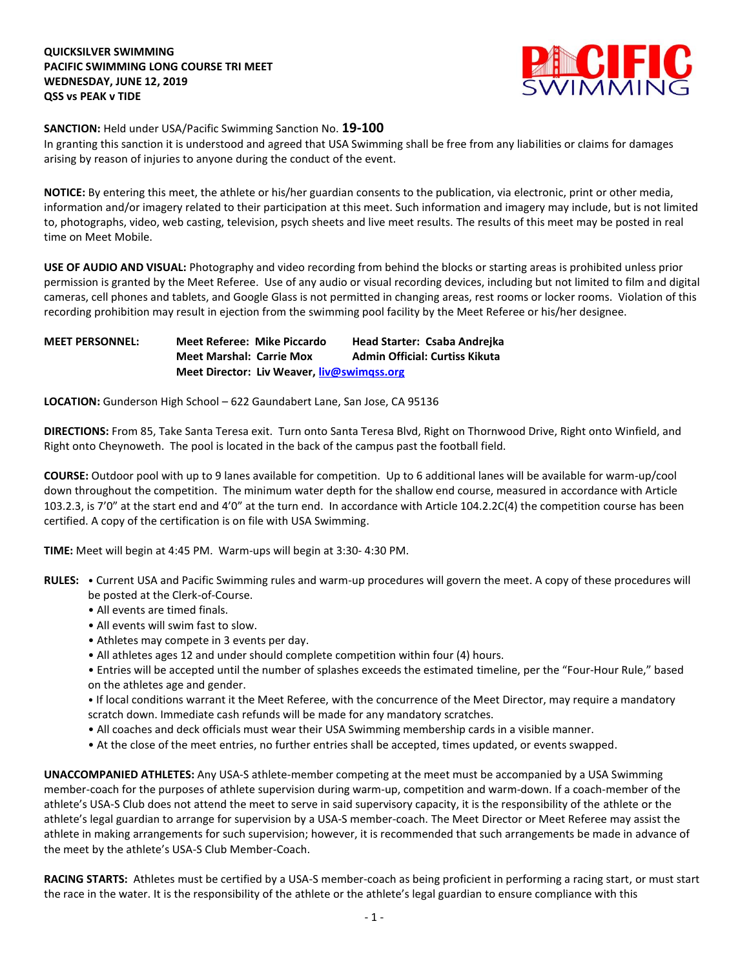

**SANCTION:** Held under USA/Pacific Swimming Sanction No. **19-100**

In granting this sanction it is understood and agreed that USA Swimming shall be free from any liabilities or claims for damages arising by reason of injuries to anyone during the conduct of the event.

**NOTICE:** By entering this meet, the athlete or his/her guardian consents to the publication, via electronic, print or other media, information and/or imagery related to their participation at this meet. Such information and imagery may include, but is not limited to, photographs, video, web casting, television, psych sheets and live meet results. The results of this meet may be posted in real time on Meet Mobile.

**USE OF AUDIO AND VISUAL:** Photography and video recording from behind the blocks or starting areas is prohibited unless prior permission is granted by the Meet Referee. Use of any audio or visual recording devices, including but not limited to film and digital cameras, cell phones and tablets, and Google Glass is not permitted in changing areas, rest rooms or locker rooms. Violation of this recording prohibition may result in ejection from the swimming pool facility by the Meet Referee or his/her designee.

## **MEET PERSONNEL: Meet Referee: Mike Piccardo Head Starter: Csaba Andrejka Meet Marshal: Carrie Mox Admin Official: Curtiss Kikuta Meet Director: Liv Weaver[, liv@swimqss.org](mailto:liv@swimqss.org)**

**LOCATION:** Gunderson High School – 622 Gaundabert Lane, San Jose, CA 95136

**DIRECTIONS:** From 85, Take Santa Teresa exit. Turn onto Santa Teresa Blvd, Right on Thornwood Drive, Right onto Winfield, and Right onto Cheynoweth. The pool is located in the back of the campus past the football field.

**COURSE:** Outdoor pool with up to 9 lanes available for competition. Up to 6 additional lanes will be available for warm-up/cool down throughout the competition. The minimum water depth for the shallow end course, measured in accordance with Article 103.2.3, is 7'0" at the start end and 4'0" at the turn end. In accordance with Article 104.2.2C(4) the competition course has been certified. A copy of the certification is on file with USA Swimming.

**TIME:** Meet will begin at 4:45 PM. Warm-ups will begin at 3:30- 4:30 PM.

- **RULES:** Current USA and Pacific Swimming rules and warm-up procedures will govern the meet. A copy of these procedures will be posted at the Clerk-of-Course.
	- All events are timed finals.
	- All events will swim fast to slow.
	- Athletes may compete in 3 events per day.
	- All athletes ages 12 and under should complete competition within four (4) hours.
	- Entries will be accepted until the number of splashes exceeds the estimated timeline, per the "Four-Hour Rule," based on the athletes age and gender.

• If local conditions warrant it the Meet Referee, with the concurrence of the Meet Director, may require a mandatory scratch down. Immediate cash refunds will be made for any mandatory scratches.

- All coaches and deck officials must wear their USA Swimming membership cards in a visible manner.
- At the close of the meet entries, no further entries shall be accepted, times updated, or events swapped.

**UNACCOMPANIED ATHLETES:** Any USA-S athlete-member competing at the meet must be accompanied by a USA Swimming member-coach for the purposes of athlete supervision during warm-up, competition and warm-down. If a coach-member of the athlete's USA-S Club does not attend the meet to serve in said supervisory capacity, it is the responsibility of the athlete or the athlete's legal guardian to arrange for supervision by a USA-S member-coach. The Meet Director or Meet Referee may assist the athlete in making arrangements for such supervision; however, it is recommended that such arrangements be made in advance of the meet by the athlete's USA-S Club Member-Coach.

**RACING STARTS:** Athletes must be certified by a USA-S member-coach as being proficient in performing a racing start, or must start the race in the water. It is the responsibility of the athlete or the athlete's legal guardian to ensure compliance with this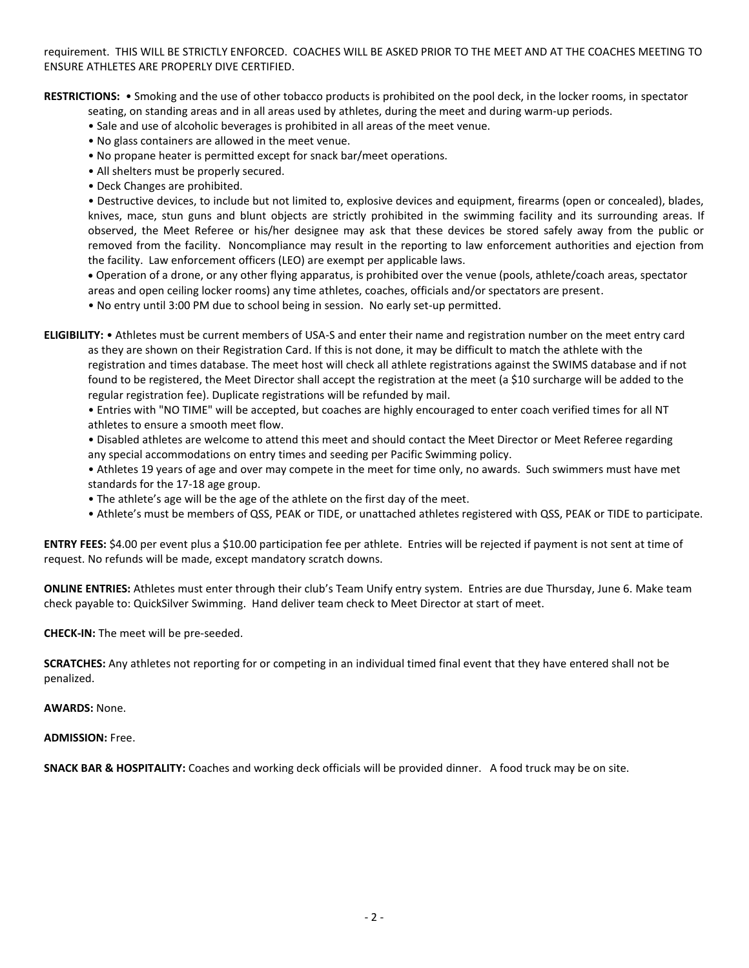requirement. THIS WILL BE STRICTLY ENFORCED. COACHES WILL BE ASKED PRIOR TO THE MEET AND AT THE COACHES MEETING TO ENSURE ATHLETES ARE PROPERLY DIVE CERTIFIED.

**RESTRICTIONS:** • Smoking and the use of other tobacco products is prohibited on the pool deck, in the locker rooms, in spectator

seating, on standing areas and in all areas used by athletes, during the meet and during warm-up periods.

- Sale and use of alcoholic beverages is prohibited in all areas of the meet venue.
- No glass containers are allowed in the meet venue.
- No propane heater is permitted except for snack bar/meet operations.
- All shelters must be properly secured.
- Deck Changes are prohibited.

• Destructive devices, to include but not limited to, explosive devices and equipment, firearms (open or concealed), blades, knives, mace, stun guns and blunt objects are strictly prohibited in the swimming facility and its surrounding areas. If observed, the Meet Referee or his/her designee may ask that these devices be stored safely away from the public or removed from the facility. Noncompliance may result in the reporting to law enforcement authorities and ejection from the facility. Law enforcement officers (LEO) are exempt per applicable laws.

 Operation of a drone, or any other flying apparatus, is prohibited over the venue (pools, athlete/coach areas, spectator areas and open ceiling locker rooms) any time athletes, coaches, officials and/or spectators are present.

• No entry until 3:00 PM due to school being in session. No early set-up permitted.

**ELIGIBILITY:** • Athletes must be current members of USA-S and enter their name and registration number on the meet entry card as they are shown on their Registration Card. If this is not done, it may be difficult to match the athlete with the registration and times database. The meet host will check all athlete registrations against the SWIMS database and if not found to be registered, the Meet Director shall accept the registration at the meet (a \$10 surcharge will be added to the regular registration fee). Duplicate registrations will be refunded by mail.

• Entries with "NO TIME" will be accepted, but coaches are highly encouraged to enter coach verified times for all NT athletes to ensure a smooth meet flow.

• Disabled athletes are welcome to attend this meet and should contact the Meet Director or Meet Referee regarding any special accommodations on entry times and seeding per Pacific Swimming policy.

• Athletes 19 years of age and over may compete in the meet for time only, no awards. Such swimmers must have met standards for the 17-18 age group.

- The athlete's age will be the age of the athlete on the first day of the meet.
- Athlete's must be members of QSS, PEAK or TIDE, or unattached athletes registered with QSS, PEAK or TIDE to participate.

**ENTRY FEES:** \$4.00 per event plus a \$10.00 participation fee per athlete. Entries will be rejected if payment is not sent at time of request. No refunds will be made, except mandatory scratch downs.

**ONLINE ENTRIES:** Athletes must enter through their club's Team Unify entry system. Entries are due Thursday, June 6. Make team check payable to: QuickSilver Swimming. Hand deliver team check to Meet Director at start of meet.

**CHECK-IN:** The meet will be pre-seeded.

**SCRATCHES:** Any athletes not reporting for or competing in an individual timed final event that they have entered shall not be penalized.

**AWARDS:** None.

**ADMISSION:** Free.

**SNACK BAR & HOSPITALITY:** Coaches and working deck officials will be provided dinner. A food truck may be on site.